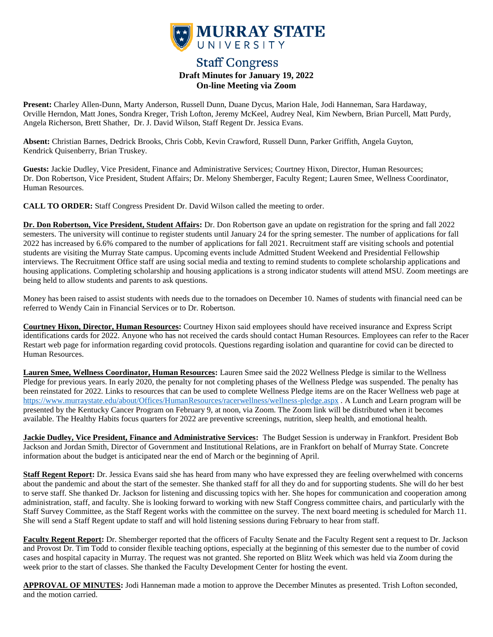

# **Staff Congress Draft Minutes for January 19, 2022 On-line Meeting via Zoom**

**Present:** Charley Allen-Dunn, Marty Anderson, Russell Dunn, Duane Dycus, Marion Hale, Jodi Hanneman, Sara Hardaway, Orville Herndon, Matt Jones, Sondra Kreger, Trish Lofton, Jeremy McKeel, Audrey Neal, Kim Newbern, Brian Purcell, Matt Purdy, Angela Richerson, Brett Shather, Dr. J. David Wilson, Staff Regent Dr. Jessica Evans.

**Absent:** Christian Barnes, Dedrick Brooks, Chris Cobb, Kevin Crawford, Russell Dunn, Parker Griffith, Angela Guyton, Kendrick Quisenberry, Brian Truskey.

**Guests:** Jackie Dudley, Vice President, Finance and Administrative Services; Courtney Hixon, Director, Human Resources; Dr. Don Robertson, Vice President, Student Affairs; Dr. Melony Shemberger, Faculty Regent; Lauren Smee, Wellness Coordinator, Human Resources.

**CALL TO ORDER:** Staff Congress President Dr. David Wilson called the meeting to order.

**Dr. Don Robertson, Vice President, Student Affairs:** Dr. Don Robertson gave an update on registration for the spring and fall 2022 semesters. The university will continue to register students until January 24 for the spring semester. The number of applications for fall 2022 has increased by 6.6% compared to the number of applications for fall 2021. Recruitment staff are visiting schools and potential students are visiting the Murray State campus. Upcoming events include Admitted Student Weekend and Presidential Fellowship interviews. The Recruitment Office staff are using social media and texting to remind students to complete scholarship applications and housing applications. Completing scholarship and housing applications is a strong indicator students will attend MSU. Zoom meetings are being held to allow students and parents to ask questions.

Money has been raised to assist students with needs due to the tornadoes on December 10. Names of students with financial need can be referred to Wendy Cain in Financial Services or to Dr. Robertson.

**Courtney Hixon, Director, Human Resources:** Courtney Hixon said employees should have received insurance and Express Script identifications cards for 2022. Anyone who has not received the cards should contact Human Resources. Employees can refer to the Racer Restart web page for information regarding covid protocols. Questions regarding isolation and quarantine for covid can be directed to Human Resources.

**Lauren Smee, Wellness Coordinator, Human Resources:** Lauren Smee said the 2022 Wellness Pledge is similar to the Wellness Pledge for previous years. In early 2020, the penalty for not completing phases of the Wellness Pledge was suspended. The penalty has been reinstated for 2022. Links to resources that can be used to complete Wellness Pledge items are on the Racer Wellness web page at <https://www.murraystate.edu/about/Offices/HumanResources/racerwellness/wellness-pledge.aspx> . A Lunch and Learn program will be presented by the Kentucky Cancer Program on February 9, at noon, via Zoom. The Zoom link will be distributed when it becomes available. The Healthy Habits focus quarters for 2022 are preventive screenings, nutrition, sleep health, and emotional health.

**Jackie Dudley, Vice President, Finance and Administrative Services:** The Budget Session is underway in Frankfort. President Bob Jackson and Jordan Smith, Director of Government and Institutional Relations, are in Frankfort on behalf of Murray State. Concrete information about the budget is anticipated near the end of March or the beginning of April.

**Staff Regent Report:** Dr. Jessica Evans said she has heard from many who have expressed they are feeling overwhelmed with concerns about the pandemic and about the start of the semester. She thanked staff for all they do and for supporting students. She will do her best to serve staff. She thanked Dr. Jackson for listening and discussing topics with her. She hopes for communication and cooperation among administration, staff, and faculty. She is looking forward to working with new Staff Congress committee chairs, and particularly with the Staff Survey Committee, as the Staff Regent works with the committee on the survey. The next board meeting is scheduled for March 11. She will send a Staff Regent update to staff and will hold listening sessions during February to hear from staff.

**Faculty Regent Report:** Dr. Shemberger reported that the officers of Faculty Senate and the Faculty Regent sent a request to Dr. Jackson and Provost Dr. Tim Todd to consider flexible teaching options, especially at the beginning of this semester due to the number of covid cases and hospital capacity in Murray. The request was not granted. She reported on Blitz Week which was held via Zoom during the week prior to the start of classes. She thanked the Faculty Development Center for hosting the event.

**APPROVAL OF MINUTES:** Jodi Hanneman made a motion to approve the December Minutes as presented. Trish Lofton seconded, and the motion carried.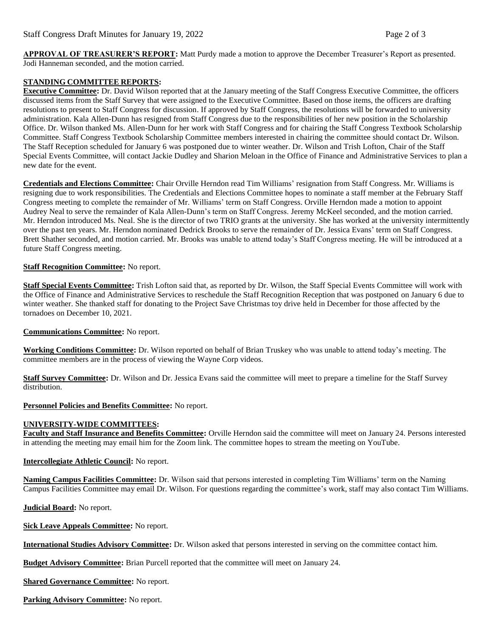**APPROVAL OF TREASURER'S REPORT:** Matt Purdy made a motion to approve the December Treasurer's Report as presented. Jodi Hanneman seconded, and the motion carried.

## **STANDING COMMITTEE REPORTS:**

**Executive Committee:** Dr. David Wilson reported that at the January meeting of the Staff Congress Executive Committee, the officers discussed items from the Staff Survey that were assigned to the Executive Committee. Based on those items, the officers are drafting resolutions to present to Staff Congress for discussion. If approved by Staff Congress, the resolutions will be forwarded to university administration. Kala Allen-Dunn has resigned from Staff Congress due to the responsibilities of her new position in the Scholarship Office. Dr. Wilson thanked Ms. Allen-Dunn for her work with Staff Congress and for chairing the Staff Congress Textbook Scholarship Committee. Staff Congress Textbook Scholarship Committee members interested in chairing the committee should contact Dr. Wilson. The Staff Reception scheduled for January 6 was postponed due to winter weather. Dr. Wilson and Trish Lofton, Chair of the Staff Special Events Committee, will contact Jackie Dudley and Sharion Meloan in the Office of Finance and Administrative Services to plan a new date for the event.

**Credentials and Elections Committee:** Chair Orville Herndon read Tim Williams' resignation from Staff Congress. Mr. Williams is resigning due to work responsibilities. The Credentials and Elections Committee hopes to nominate a staff member at the February Staff Congress meeting to complete the remainder of Mr. Williams' term on Staff Congress. Orville Herndon made a motion to appoint Audrey Neal to serve the remainder of Kala Allen-Dunn's term on Staff Congress. Jeremy McKeel seconded, and the motion carried. Mr. Herndon introduced Ms. Neal. She is the director of two TRIO grants at the university. She has worked at the university intermittently over the past ten years. Mr. Herndon nominated Dedrick Brooks to serve the remainder of Dr. Jessica Evans' term on Staff Congress. Brett Shather seconded, and motion carried. Mr. Brooks was unable to attend today's Staff Congress meeting. He will be introduced at a future Staff Congress meeting.

## **Staff Recognition Committee:** No report.

**Staff Special Events Committee:** Trish Lofton said that, as reported by Dr. Wilson, the Staff Special Events Committee will work with the Office of Finance and Administrative Services to reschedule the Staff Recognition Reception that was postponed on January 6 due to winter weather. She thanked staff for donating to the Project Save Christmas toy drive held in December for those affected by the tornadoes on December 10, 2021.

**Communications Committee:** No report.

**Working Conditions Committee:** Dr. Wilson reported on behalf of Brian Truskey who was unable to attend today's meeting. The committee members are in the process of viewing the Wayne Corp videos.

**Staff Survey Committee:** Dr. Wilson and Dr. Jessica Evans said the committee will meet to prepare a timeline for the Staff Survey distribution.

**Personnel Policies and Benefits Committee:** No report.

## **UNIVERSITY-WIDE COMMITTEES:**

**Faculty and Staff Insurance and Benefits Committee:** Orville Herndon said the committee will meet on January 24. Persons interested in attending the meeting may email him for the Zoom link. The committee hopes to stream the meeting on YouTube.

## **Intercollegiate Athletic Council:** No report.

**Naming Campus Facilities Committee:** Dr. Wilson said that persons interested in completing Tim Williams' term on the Naming Campus Facilities Committee may email Dr. Wilson. For questions regarding the committee's work, staff may also contact Tim Williams.

**Judicial Board:** No report.

**Sick Leave Appeals Committee:** No report.

**International Studies Advisory Committee:** Dr. Wilson asked that persons interested in serving on the committee contact him.

**Budget Advisory Committee:** Brian Purcell reported that the committee will meet on January 24.

**Shared Governance Committee:** No report.

**Parking Advisory Committee:** No report.